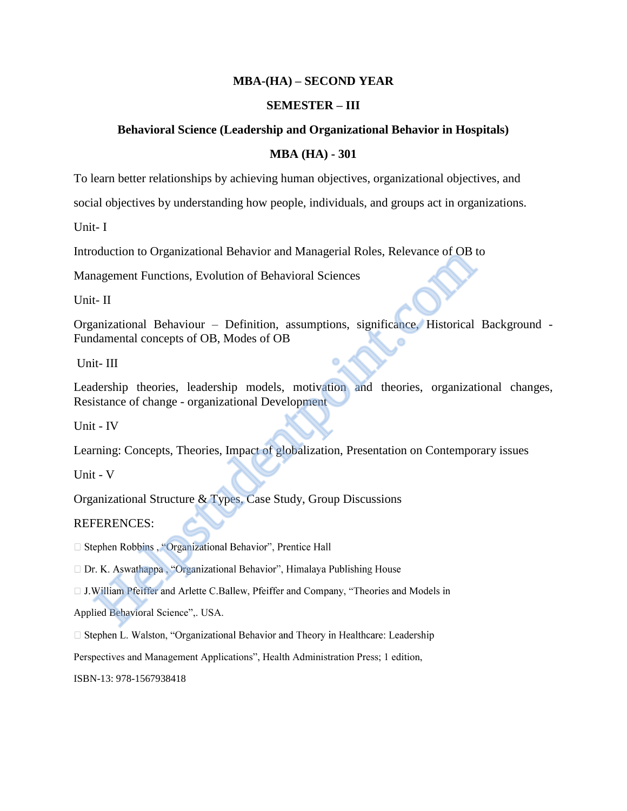# **MBA-(HA) – SECOND YEAR**

### **SEMESTER – III**

### **Behavioral Science (Leadership and Organizational Behavior in Hospitals)**

### **MBA (HA) - 301**

To learn better relationships by achieving human objectives, organizational objectives, and

social objectives by understanding how people, individuals, and groups act in organizations.

Unit- I

Introduction to Organizational Behavior and Managerial Roles, Relevance of OB to

Management Functions, Evolution of Behavioral Sciences

Unit- II

Organizational Behaviour – Definition, assumptions, significance, Historical Background - Fundamental concepts of OB, Modes of OB oduction to Organizational Behavior and Managerial Roles, Relevance of OB langement Functions, Evolution of Behavioral Sciences<br>
1- II<br>
anizational Behaviour – Definition, assumptions, significance, Historical<br>
damental co

Unit- III

Leadership theories, leadership models, motivation and theories, organizational changes, Resistance of change - organizational Development

Unit - IV

Learning: Concepts, Theories, Impact of globalization, Presentation on Contemporary issues

Unit - V

Organizational Structure & Types, Case Study, Group Discussions

REFERENCES:

Applied Behavioral Science",. USA.

 $\Box$  Stephen L. Walston, "Organizational Behavior and Theory in Healthcare: Leadership

Perspectives and Management Applications", Health Administration Press; 1 edition,

ISBN-13: 978-1567938418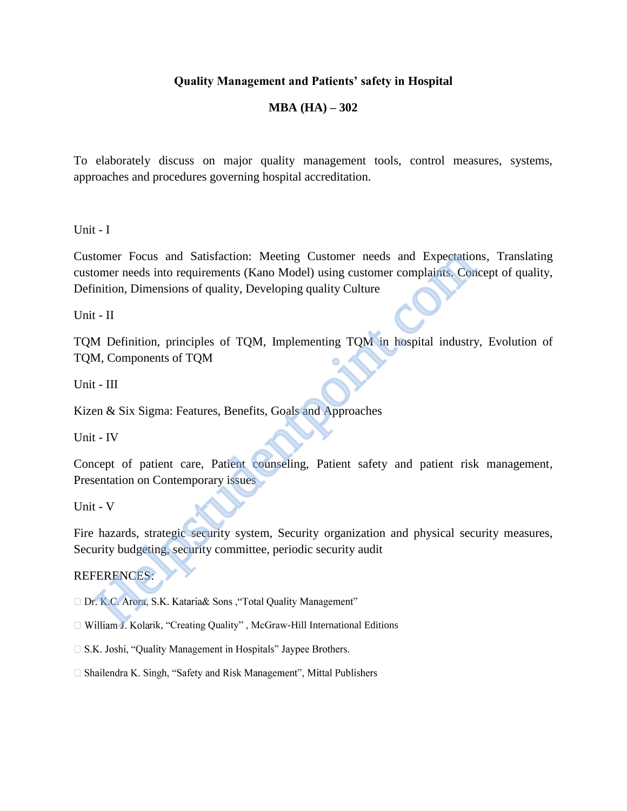# **Quality Management and Patients' safety in Hospital**

# **MBA (HA) – 302**

To elaborately discuss on major quality management tools, control measures, systems, approaches and procedures governing hospital accreditation.

Unit - I

Customer Focus and Satisfaction: Meeting Customer needs and Expectations, Translating customer needs into requirements (Kano Model) using customer complaints. Concept of quality, Definition, Dimensions of quality, Developing quality Culture tomer Focus and Satisfaction: Meeting Customer needs and Expectations,<br>
omer needs into requirements (Kano Model) using customer complaints. Conce<br>
11.1 H<br>
11.1 H<br>
11.1 H<br>
11.1 M<br>
11.1 Definition, principles of TQM, Implem

Unit - II

TQM Definition, principles of TQM, Implementing TQM in hospital industry, Evolution of TQM, Components of TQM

Unit - III

Kizen & Six Sigma: Features, Benefits, Goals and Approaches

Unit - IV

Concept of patient care, Patient counseling, Patient safety and patient risk management, Presentation on Contemporary issues

Unit - V

Fire hazards, strategic security system, Security organization and physical security measures, Security budgeting, security committee, periodic security audit

# REFERENCES:

- □ William J. Kolarik, "Creating Quality", McGraw-Hill International Editions
- $\Box$  S.K. Joshi, "Quality Management in Hospitals" Jaypee Brothers.
- $\Box$  Shailendra K. Singh, "Safety and Risk Management", Mittal Publishers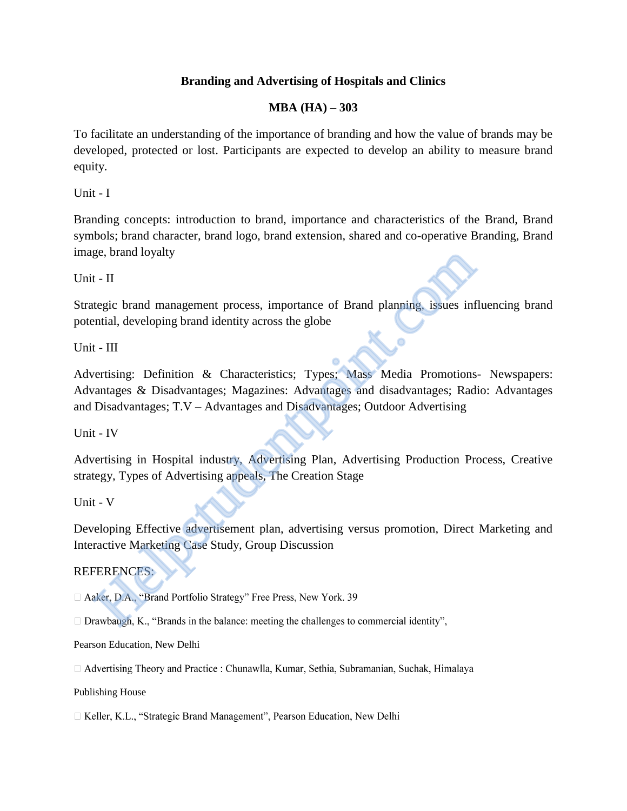# **Branding and Advertising of Hospitals and Clinics**

# **MBA (HA) – 303**

To facilitate an understanding of the importance of branding and how the value of brands may be developed, protected or lost. Participants are expected to develop an ability to measure brand equity.

Unit - I

Branding concepts: introduction to brand, importance and characteristics of the Brand, Brand symbols; brand character, brand logo, brand extension, shared and co-operative Branding, Brand image, brand loyalty

Unit - II

Strategic brand management process, importance of Brand planning, issues influencing brand potential, developing brand identity across the globe

Unit - III

Advertising: Definition & Characteristics; Types; Mass Media Promotions- Newspapers: Advantages & Disadvantages; Magazines: Advantages and disadvantages; Radio: Advantages and Disadvantages; T.V – Advantages and Disadvantages; Outdoor Advertising ge, orana loyalty<br>
1. II<br>
tegic brand management process, importance of Brand planning, issues in<br>
thilal, developing brand identity across the globe<br>
1. III<br>
1. III<br>
arantages & Disadvantages; Magazines: Advantages and di

Unit - IV

Advertising in Hospital industry, Advertising Plan, Advertising Production Process, Creative strategy, Types of Advertising appeals, The Creation Stage

Unit - V

Developing Effective advertisement plan, advertising versus promotion, Direct Marketing and Interactive Marketing Case Study, Group Discussion

# REFERENCES:

Pearson Education, New Delhi

□ Advertising Theory and Practice : Chunawlla, Kumar, Sethia, Subramanian, Suchak, Himalaya

Publishing House

□ Keller, K.L., "Strategic Brand Management", Pearson Education, New Delhi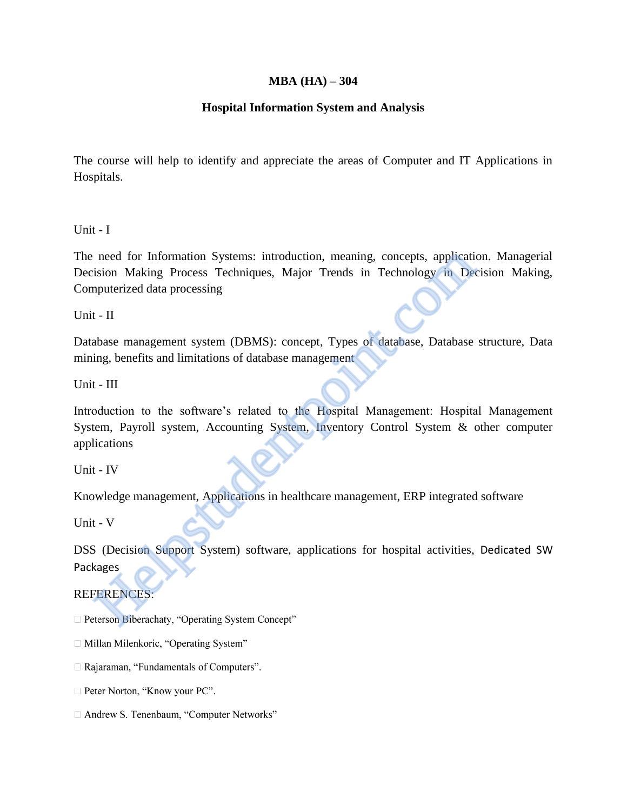# **MBA (HA) – 304**

# **Hospital Information System and Analysis**

The course will help to identify and appreciate the areas of Computer and IT Applications in Hospitals.

Unit - I

The need for Information Systems: introduction, meaning, concepts, application. Managerial Decision Making Process Techniques, Major Trends in Technology in Decision Making, Computerized data processing

Unit - II

Database management system (DBMS): concept, Types of database, Database structure, Data mining, benefits and limitations of database management

Unit - III

Introduction to the software's related to the Hospital Management: Hospital Management System, Payroll system, Accounting System, Inventory Control System & other computer applications need for Information Systems: introduction, meaning, concepts, applicaties<br>
ision Making Process Techniques, Major Trends in Technology in Deceptive<br>
1. IT<br>
abase management system (DBMS): concept, Types of database, Datab

Unit - IV

Knowledge management, Applications in healthcare management, ERP integrated software

Unit - V

DSS (Decision Support System) software, applications for hospital activities, Dedicated SW Packages

# REFERENCES:

- □ Millan Milenkoric, "Operating System"
- $\Box$  Rajaraman, "Fundamentals of Computers".
- $\Box$  Peter Norton, "Know your PC".
- □ Andrew S. Tenenbaum, "Computer Networks"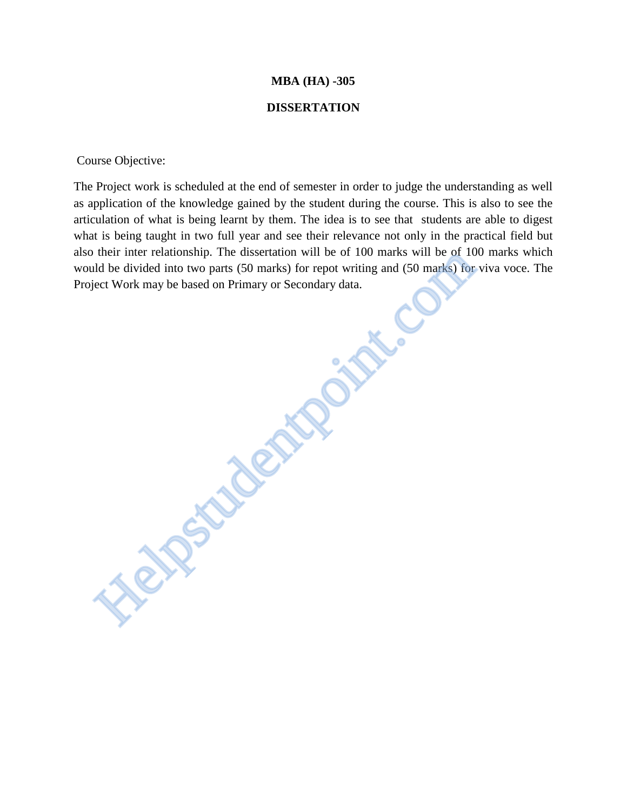### **MBA (HA) -305**

### **DISSERTATION**

Course Objective:

The Project work is scheduled at the end of semester in order to judge the understanding as well as application of the knowledge gained by the student during the course. This is also to see the articulation of what is being learnt by them. The idea is to see that students are able to digest what is being taught in two full year and see their relevance not only in the practical field but also their inter relationship. The dissertation will be of 100 marks will be of 100 marks which would be divided into two parts (50 marks) for repot writing and (50 marks) for viva voce. The Project Work may be based on Primary or Secondary data. their mer relationship. The assertation will be or 100 marks will be or 10<br>ld be divided into two parts (50 marks) for repot writing and (50 marks) for<br>elect Work may be based on Primary or Secondary data.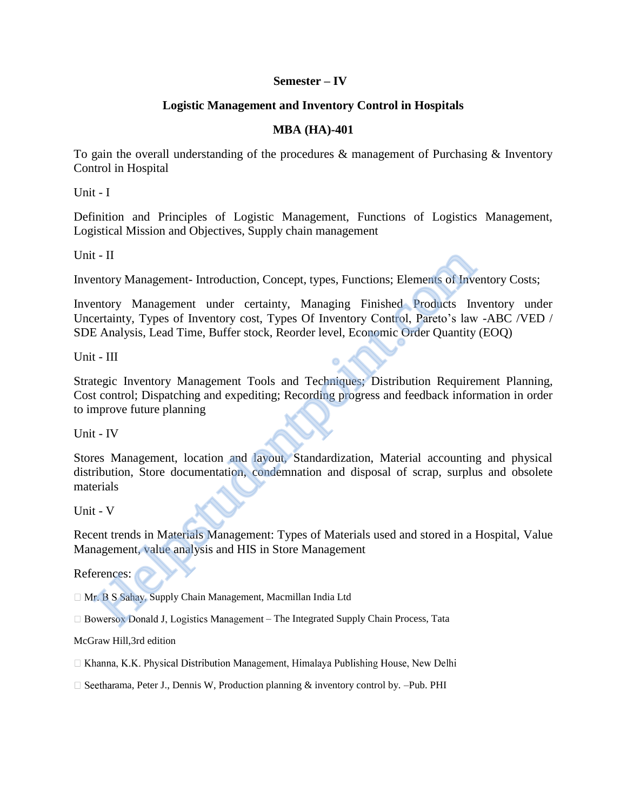# **Semester – IV**

# **Logistic Management and Inventory Control in Hospitals**

# **MBA (HA)-401**

To gain the overall understanding of the procedures & management of Purchasing & Inventory Control in Hospital

Unit - I

Definition and Principles of Logistic Management, Functions of Logistics Management, Logistical Mission and Objectives, Supply chain management

Unit - II

Inventory Management- Introduction, Concept, types, Functions; Elements of Inventory Costs;

Inventory Management under certainty, Managing Finished Products Inventory under Uncertainty, Types of Inventory cost, Types Of Inventory Control, Pareto's law -ABC /VED / SDE Analysis, Lead Time, Buffer stock, Reorder level, Economic Order Quantity (EOQ)

Unit - III

Strategic Inventory Management Tools and Techniques; Distribution Requirement Planning, Cost control; Dispatching and expediting; Recording progress and feedback information in order to improve future planning t - II<br>
Intory Management - Introduction, Concept, types, Functions; Elements of Inventory Management under certainty, Managing Finished Products In<br>
esticution, Types of Inventory cost, Types Of Inventory Contol, Pareto's

Unit - IV

Stores Management, location and layout, Standardization, Material accounting and physical distribution, Store documentation, condemnation and disposal of scrap, surplus and obsolete materials

Unit - V

Recent trends in Materials Management: Types of Materials used and stored in a Hospital, Value Management, value analysis and HIS in Store Management

References:

□ Mr. B S Sahay, Supply Chain Management, Macmillan India Ltd

□ Bowersox Donald J, Logistics Management - The Integrated Supply Chain Process, Tata

McGraw Hill,3rd edition

□ Khanna, K.K. Physical Distribution Management, Himalaya Publishing House, New Delhi

 $\Box$  Seetharama, Peter J., Dennis W, Production planning & inventory control by. –Pub. PHI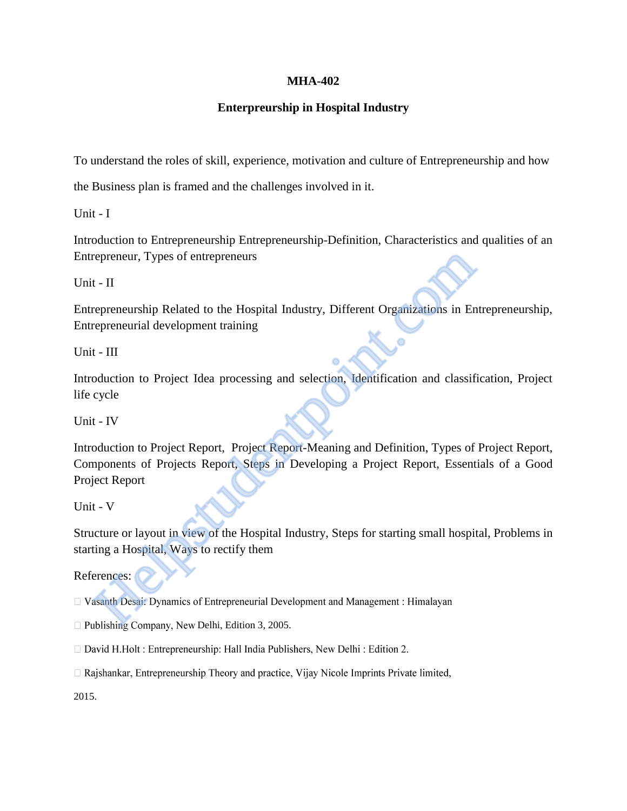# **MHA-402**

# **Enterpreurship in Hospital Industry**

To understand the roles of skill, experience, motivation and culture of Entrepreneurship and how

the Business plan is framed and the challenges involved in it.

Unit - I

Introduction to Entrepreneurship Entrepreneurship-Definition, Characteristics and qualities of an Entrepreneur, Types of entrepreneurs

Unit - II

Entrepreneurship Related to the Hospital Industry, Different Organizations in Entrepreneurship, Entrepreneurial development training

Unit - III

Introduction to Project Idea processing and selection, Identification and classification, Project life cycle

Unit - IV

Introduction to Project Report, Project Report-Meaning and Definition, Types of Project Report, Components of Projects Report, Steps in Developing a Project Report, Essentials of a Good Project Report repreneur, Types of entrepreneurs<br>
1 - II<br>
repreneurship Related to the Hospital Industry, Different Organizations in En<br>
repreneurial development training<br>
1 - III<br>
duction to Project Idea processing and selection, Identi

Unit - V

Structure or layout in view of the Hospital Industry, Steps for starting small hospital, Problems in starting a Hospital, Ways to rectify them

References:

 $\Box$  Publishing Company, New Delhi, Edition 3, 2005.

- $\Box$  David H.Holt: Entrepreneurship: Hall India Publishers, New Delhi: Edition 2.
- $\Box$  Rajshankar, Entrepreneurship Theory and practice, Vijay Nicole Imprints Private limited,

2015.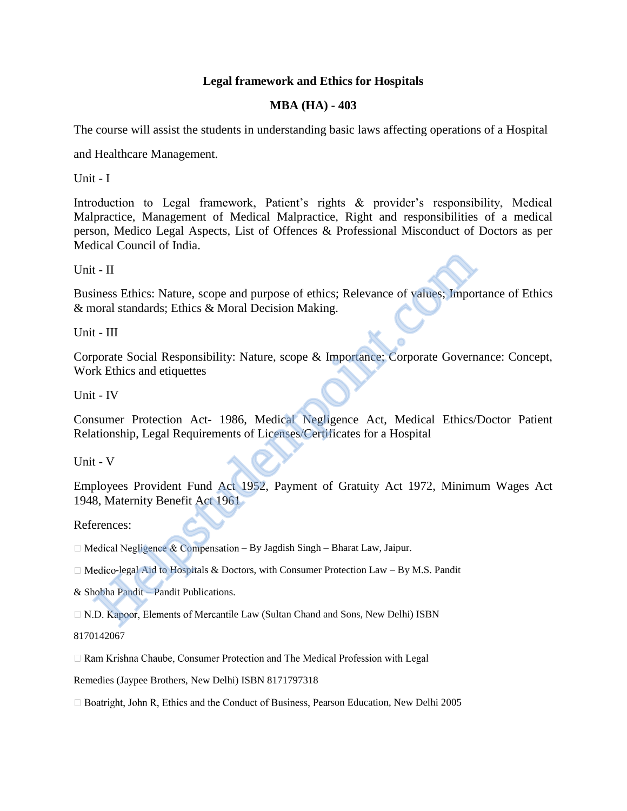# **Legal framework and Ethics for Hospitals**

# **MBA (HA) - 403**

The course will assist the students in understanding basic laws affecting operations of a Hospital

and Healthcare Management.

Unit - I

Introduction to Legal framework, Patient's rights & provider's responsibility, Medical Malpractice, Management of Medical Malpractice, Right and responsibilities of a medical person, Medico Legal Aspects, List of Offences & Professional Misconduct of Doctors as per Medical Council of India.

Unit - II

Business Ethics: Nature, scope and purpose of ethics; Relevance of values; Importance of Ethics & moral standards; Ethics & Moral Decision Making.

Unit - III

Corporate Social Responsibility: Nature, scope & Importance; Corporate Governance: Concept, Work Ethics and etiquettes

Unit - IV

Consumer Protection Act- 1986, Medical Negligence Act, Medical Ethics/Doctor Patient Relationship, Legal Requirements of Licenses/Certificates for a Hospital

Unit - V

Employees Provident Fund Act 1952, Payment of Gratuity Act 1972, Minimum Wages Act 1948, Maternity Benefit Act 1961 1 - II<br>
iness Ethics: Nature, scope and purpose of ethics; Relevance of values; Important<br>
1 - III<br>
increase Social Responsibility: Nature, scope & Importance; Corporate Govern<br>
increase Social Responsibility: Nature, scop

References:

 $\Box$  Medical Negligence & Compensation – By Jagdish Singh – Bharat Law, Jaipur.

 $\Box$  Medico-legal Aid to Hospitals & Doctors, with Consumer Protection Law – By M.S. Pandit

& Shobha Pandit – Pandit Publications.

□ N.D. Kapoor, Elements of Mercantile Law (Sultan Chand and Sons, New Delhi) ISBN

8170142067

□ Ram Krishna Chaube, Consumer Protection and The Medical Profession with Legal

Remedies (Jaypee Brothers, New Delhi) ISBN 8171797318

 $\Box$  Boatright, John R, Ethics and the Conduct of Business, Pearson Education, New Delhi 2005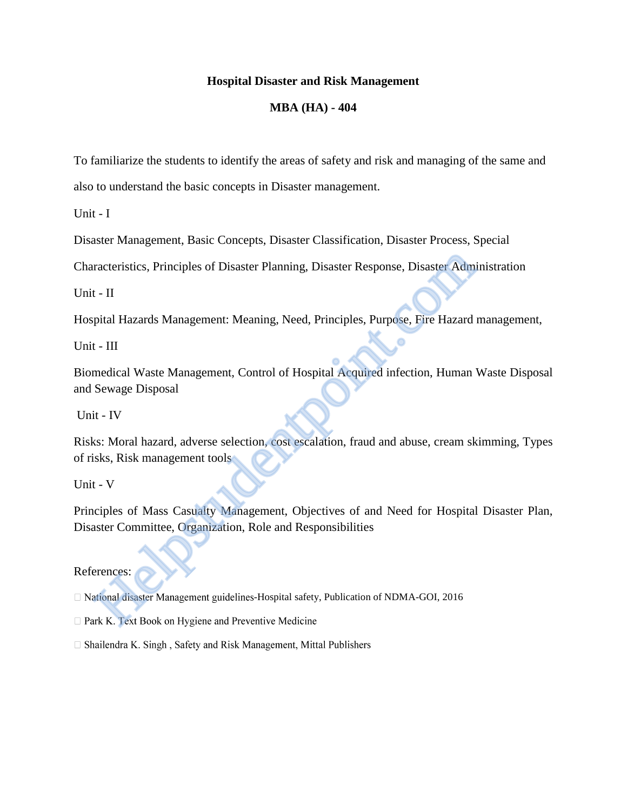# **Hospital Disaster and Risk Management**

# **MBA (HA) - 404**

To familiarize the students to identify the areas of safety and risk and managing of the same and

also to understand the basic concepts in Disaster management.

Unit - I

Disaster Management, Basic Concepts, Disaster Classification, Disaster Process, Special

Characteristics, Principles of Disaster Planning, Disaster Response, Disaster Administration

Unit - II

Hospital Hazards Management: Meaning, Need, Principles, Purpose, Fire Hazard management,

Unit - III

Biomedical Waste Management, Control of Hospital Acquired infection, Human Waste Disposal and Sewage Disposal racteristics, Principles of Disaster Planning, Disaster Response, Disaster Administry (Fig. 2014)<br>
1. Figure 11 Hazards Management: Meaning, Need, Principles, Purpose, Fire Hazard<br>
1. Figure 1. Hazards Management, Control

Unit - IV

Risks: Moral hazard, adverse selection, cost escalation, fraud and abuse, cream skimming, Types of risks, Risk management tools

Unit - V

Principles of Mass Casualty Management, Objectives of and Need for Hospital Disaster Plan, Disaster Committee, Organization, Role and Responsibilities

# References:

 $\Box$  National disaster Management guidelines-Hospital safety, Publication of NDMA-GOI, 2016

- 
- □ Shailendra K. Singh, Safety and Risk Management, Mittal Publishers